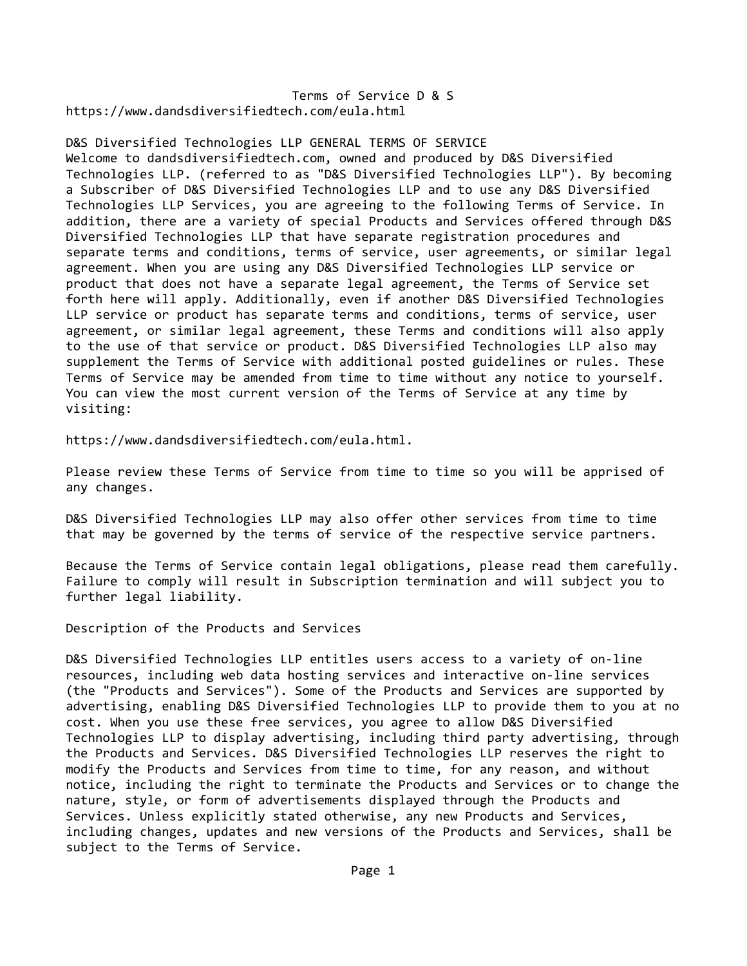Terms of Service D & S https://www.dandsdiversifiedtech.com/eula.html

D&S Diversified Technologies LLP GENERAL TERMS OF SERVICE Welcome to dandsdiversifiedtech.com, owned and produced by D&S Diversified Technologies LLP. (referred to as "D&S Diversified Technologies LLP"). By becoming a Subscriber of D&S Diversified Technologies LLP and to use any D&S Diversified Technologies LLP Services, you are agreeing to the following Terms of Service. In addition, there are a variety of special Products and Services offered through D&S Diversified Technologies LLP that have separate registration procedures and separate terms and conditions, terms of service, user agreements, or similar legal agreement. When you are using any D&S Diversified Technologies LLP service or product that does not have a separate legal agreement, the Terms of Service set forth here will apply. Additionally, even if another D&S Diversified Technologies LLP service or product has separate terms and conditions, terms of service, user agreement, or similar legal agreement, these Terms and conditions will also apply to the use of that service or product. D&S Diversified Technologies LLP also may supplement the Terms of Service with additional posted guidelines or rules. These Terms of Service may be amended from time to time without any notice to yourself. You can view the most current version of the Terms of Service at any time by visiting:

https://www.dandsdiversifiedtech.com/eula.html.

Please review these Terms of Service from time to time so you will be apprised of any changes.

D&S Diversified Technologies LLP may also offer other services from time to time that may be governed by the terms of service of the respective service partners.

Because the Terms of Service contain legal obligations, please read them carefully. Failure to comply will result in Subscription termination and will subject you to further legal liability.

Description of the Products and Services

D&S Diversified Technologies LLP entitles users access to a variety of on-line resources, including web data hosting services and interactive on‐line services (the "Products and Services"). Some of the Products and Services are supported by advertising, enabling D&S Diversified Technologies LLP to provide them to you at no cost. When you use these free services, you agree to allow D&S Diversified Technologies LLP to display advertising, including third party advertising, through the Products and Services. D&S Diversified Technologies LLP reserves the right to modify the Products and Services from time to time, for any reason, and without notice, including the right to terminate the Products and Services or to change the nature, style, or form of advertisements displayed through the Products and Services. Unless explicitly stated otherwise, any new Products and Services, including changes, updates and new versions of the Products and Services, shall be subject to the Terms of Service.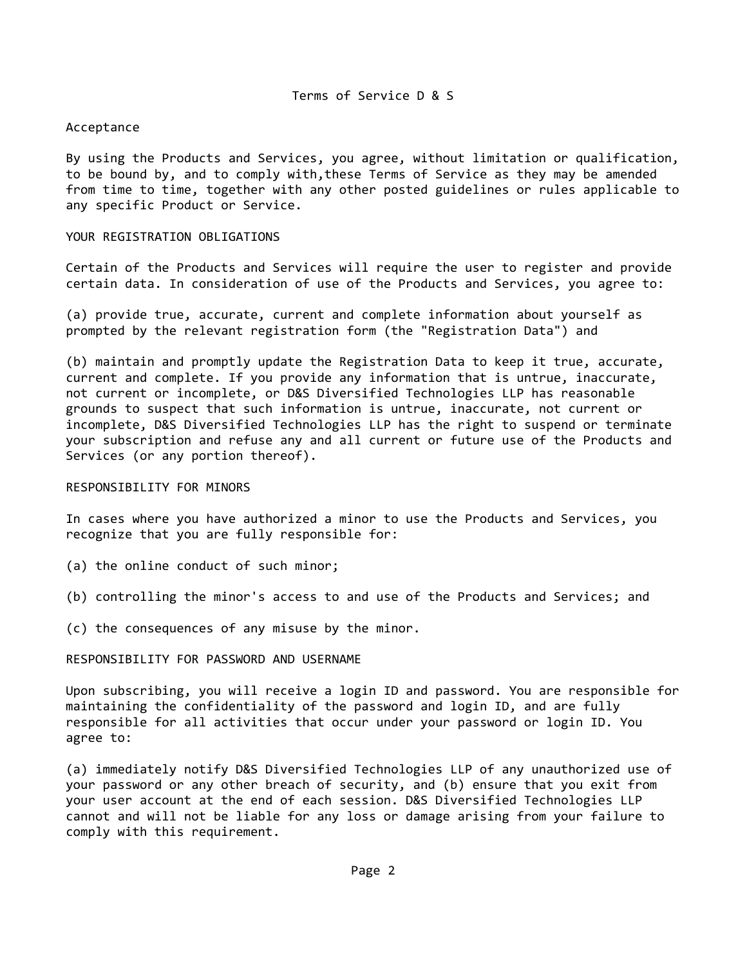# Acceptance

By using the Products and Services, you agree, without limitation or qualification, to be bound by, and to comply with,these Terms of Service as they may be amended from time to time, together with any other posted guidelines or rules applicable to any specific Product or Service.

# YOUR REGISTRATION OBLIGATIONS

Certain of the Products and Services will require the user to register and provide certain data. In consideration of use of the Products and Services, you agree to:

(a) provide true, accurate, current and complete information about yourself as prompted by the relevant registration form (the "Registration Data") and

(b) maintain and promptly update the Registration Data to keep it true, accurate, current and complete. If you provide any information that is untrue, inaccurate, not current or incomplete, or D&S Diversified Technologies LLP has reasonable grounds to suspect that such information is untrue, inaccurate, not current or incomplete, D&S Diversified Technologies LLP has the right to suspend or terminate your subscription and refuse any and all current or future use of the Products and Services (or any portion thereof).

#### RESPONSIBILITY FOR MINORS

In cases where you have authorized a minor to use the Products and Services, you recognize that you are fully responsible for:

- (a) the online conduct of such minor;
- (b) controlling the minor's access to and use of the Products and Services; and
- (c) the consequences of any misuse by the minor.

#### RESPONSIBILITY FOR PASSWORD AND USERNAME

Upon subscribing, you will receive a login ID and password. You are responsible for maintaining the confidentiality of the password and login ID, and are fully responsible for all activities that occur under your password or login ID. You agree to:

(a) immediately notify D&S Diversified Technologies LLP of any unauthorized use of your password or any other breach of security, and (b) ensure that you exit from your user account at the end of each session. D&S Diversified Technologies LLP cannot and will not be liable for any loss or damage arising from your failure to comply with this requirement.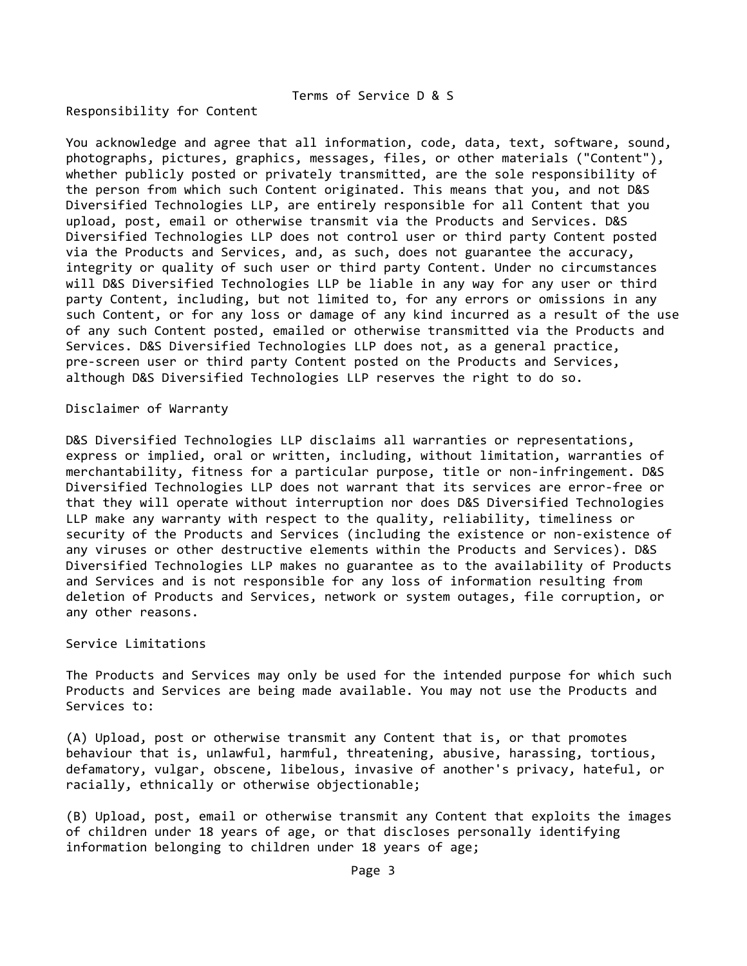#### Responsibility for Content

You acknowledge and agree that all information, code, data, text, software, sound, photographs, pictures, graphics, messages, files, or other materials ("Content"), whether publicly posted or privately transmitted, are the sole responsibility of the person from which such Content originated. This means that you, and not D&S Diversified Technologies LLP, are entirely responsible for all Content that you upload, post, email or otherwise transmit via the Products and Services. D&S Diversified Technologies LLP does not control user or third party Content posted via the Products and Services, and, as such, does not guarantee the accuracy, integrity or quality of such user or third party Content. Under no circumstances will D&S Diversified Technologies LLP be liable in any way for any user or third party Content, including, but not limited to, for any errors or omissions in any such Content, or for any loss or damage of any kind incurred as a result of the use of any such Content posted, emailed or otherwise transmitted via the Products and Services. D&S Diversified Technologies LLP does not, as a general practice, pre-screen user or third party Content posted on the Products and Services, although D&S Diversified Technologies LLP reserves the right to do so.

## Disclaimer of Warranty

D&S Diversified Technologies LLP disclaims all warranties or representations, express or implied, oral or written, including, without limitation, warranties of merchantability, fitness for a particular purpose, title or non-infringement. D&S Diversified Technologies LLP does not warrant that its services are error‐free or that they will operate without interruption nor does D&S Diversified Technologies LLP make any warranty with respect to the quality, reliability, timeliness or security of the Products and Services (including the existence or non‐existence of any viruses or other destructive elements within the Products and Services). D&S Diversified Technologies LLP makes no guarantee as to the availability of Products and Services and is not responsible for any loss of information resulting from deletion of Products and Services, network or system outages, file corruption, or any other reasons.

#### Service Limitations

The Products and Services may only be used for the intended purpose for which such Products and Services are being made available. You may not use the Products and Services to:

(A) Upload, post or otherwise transmit any Content that is, or that promotes behaviour that is, unlawful, harmful, threatening, abusive, harassing, tortious, defamatory, vulgar, obscene, libelous, invasive of another's privacy, hateful, or racially, ethnically or otherwise objectionable;

(B) Upload, post, email or otherwise transmit any Content that exploits the images of children under 18 years of age, or that discloses personally identifying information belonging to children under 18 years of age;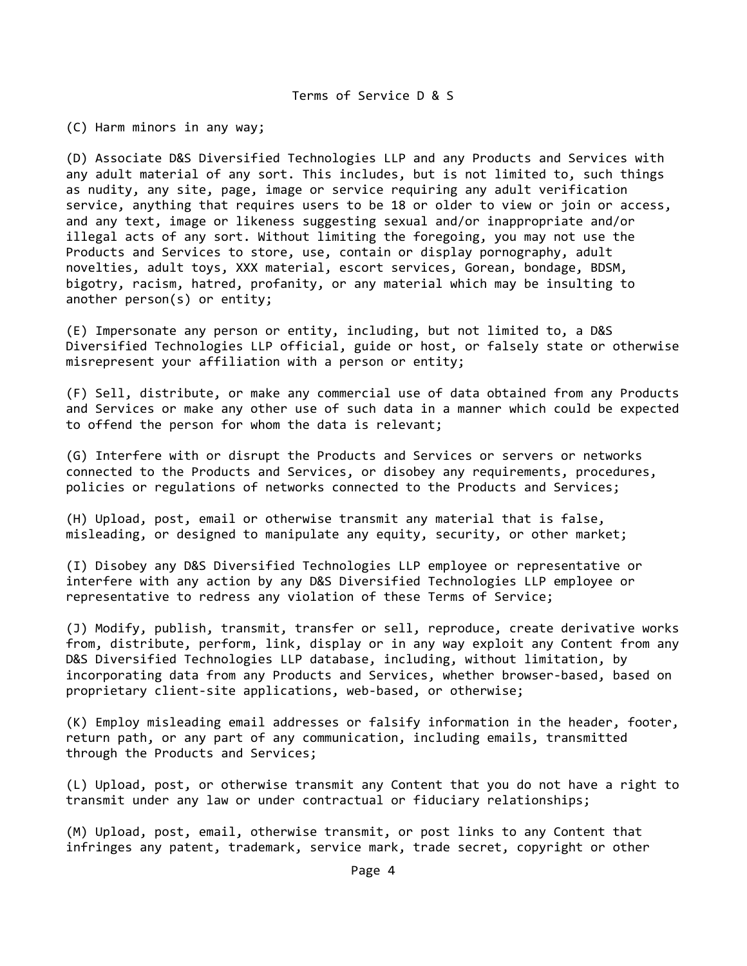(C) Harm minors in any way;

(D) Associate D&S Diversified Technologies LLP and any Products and Services with any adult material of any sort. This includes, but is not limited to, such things as nudity, any site, page, image or service requiring any adult verification service, anything that requires users to be 18 or older to view or join or access, and any text, image or likeness suggesting sexual and/or inappropriate and/or illegal acts of any sort. Without limiting the foregoing, you may not use the Products and Services to store, use, contain or display pornography, adult novelties, adult toys, XXX material, escort services, Gorean, bondage, BDSM, bigotry, racism, hatred, profanity, or any material which may be insulting to another person(s) or entity;

(E) Impersonate any person or entity, including, but not limited to, a D&S Diversified Technologies LLP official, guide or host, or falsely state or otherwise misrepresent your affiliation with a person or entity;

(F) Sell, distribute, or make any commercial use of data obtained from any Products and Services or make any other use of such data in a manner which could be expected to offend the person for whom the data is relevant;

(G) Interfere with or disrupt the Products and Services or servers or networks connected to the Products and Services, or disobey any requirements, procedures, policies or regulations of networks connected to the Products and Services;

(H) Upload, post, email or otherwise transmit any material that is false, misleading, or designed to manipulate any equity, security, or other market;

(I) Disobey any D&S Diversified Technologies LLP employee or representative or interfere with any action by any D&S Diversified Technologies LLP employee or representative to redress any violation of these Terms of Service;

(J) Modify, publish, transmit, transfer or sell, reproduce, create derivative works from, distribute, perform, link, display or in any way exploit any Content from any D&S Diversified Technologies LLP database, including, without limitation, by incorporating data from any Products and Services, whether browser‐based, based on proprietary client-site applications, web-based, or otherwise;

(K) Employ misleading email addresses or falsify information in the header, footer, return path, or any part of any communication, including emails, transmitted through the Products and Services;

(L) Upload, post, or otherwise transmit any Content that you do not have a right to transmit under any law or under contractual or fiduciary relationships;

(M) Upload, post, email, otherwise transmit, or post links to any Content that infringes any patent, trademark, service mark, trade secret, copyright or other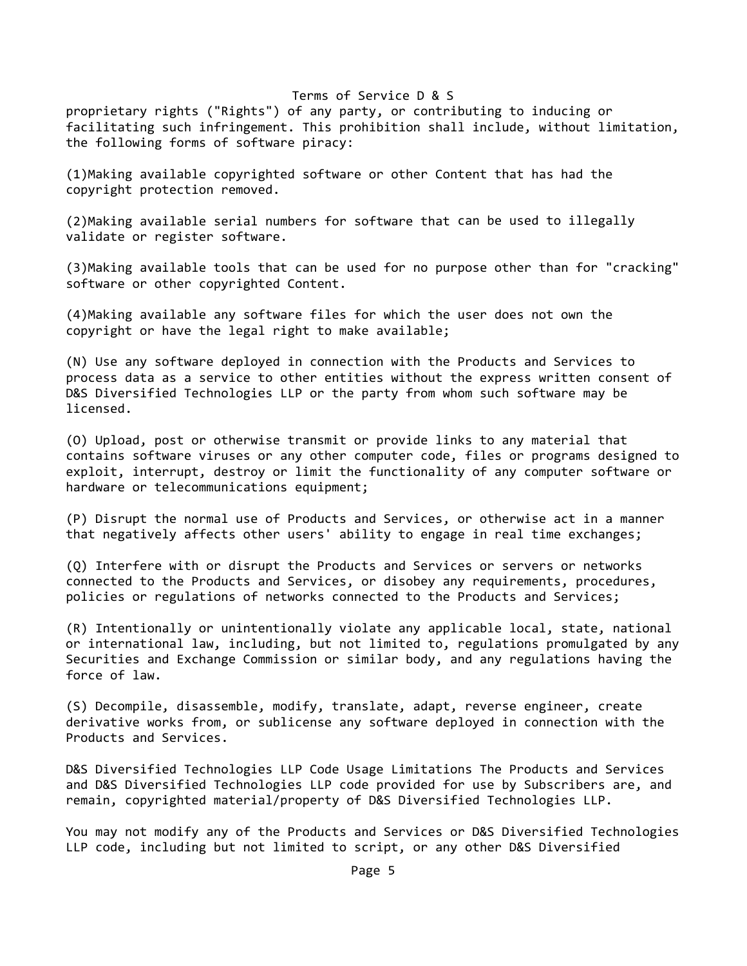proprietary rights ("Rights") of any party, or contributing to inducing or facilitating such infringement. This prohibition shall include, without limitation, the following forms of software piracy:

(1)Making available copyrighted software or other Content that has had the copyright protection removed.

(2)Making available serial numbers for software that can be used to illegally validate or register software.

(3)Making available tools that can be used for no purpose other than for "cracking" software or other copyrighted Content.

(4)Making available any software files for which the user does not own the copyright or have the legal right to make available;

(N) Use any software deployed in connection with the Products and Services to process data as a service to other entities without the express written consent of D&S Diversified Technologies LLP or the party from whom such software may be licensed.

(O) Upload, post or otherwise transmit or provide links to any material that contains software viruses or any other computer code, files or programs designed to exploit, interrupt, destroy or limit the functionality of any computer software or hardware or telecommunications equipment;

(P) Disrupt the normal use of Products and Services, or otherwise act in a manner that negatively affects other users' ability to engage in real time exchanges;

(Q) Interfere with or disrupt the Products and Services or servers or networks connected to the Products and Services, or disobey any requirements, procedures, policies or regulations of networks connected to the Products and Services;

(R) Intentionally or unintentionally violate any applicable local, state, national or international law, including, but not limited to, regulations promulgated by any Securities and Exchange Commission or similar body, and any regulations having the force of law.

(S) Decompile, disassemble, modify, translate, adapt, reverse engineer, create derivative works from, or sublicense any software deployed in connection with the Products and Services.

D&S Diversified Technologies LLP Code Usage Limitations The Products and Services and D&S Diversified Technologies LLP code provided for use by Subscribers are, and remain, copyrighted material/property of D&S Diversified Technologies LLP.

You may not modify any of the Products and Services or D&S Diversified Technologies LLP code, including but not limited to script, or any other D&S Diversified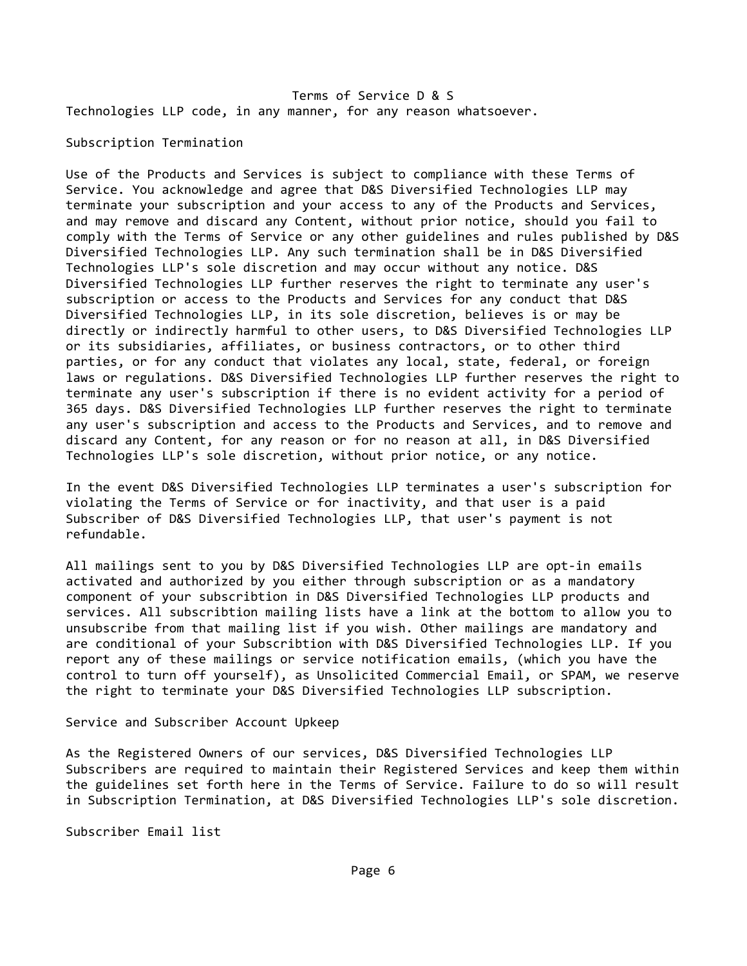Terms of Service D & S Technologies LLP code, in any manner, for any reason whatsoever.

# Subscription Termination

Use of the Products and Services is subject to compliance with these Terms of Service. You acknowledge and agree that D&S Diversified Technologies LLP may terminate your subscription and your access to any of the Products and Services, and may remove and discard any Content, without prior notice, should you fail to comply with the Terms of Service or any other guidelines and rules published by D&S Diversified Technologies LLP. Any such termination shall be in D&S Diversified Technologies LLP's sole discretion and may occur without any notice. D&S Diversified Technologies LLP further reserves the right to terminate any user's subscription or access to the Products and Services for any conduct that D&S Diversified Technologies LLP, in its sole discretion, believes is or may be directly or indirectly harmful to other users, to D&S Diversified Technologies LLP or its subsidiaries, affiliates, or business contractors, or to other third parties, or for any conduct that violates any local, state, federal, or foreign laws or regulations. D&S Diversified Technologies LLP further reserves the right to terminate any user's subscription if there is no evident activity for a period of 365 days. D&S Diversified Technologies LLP further reserves the right to terminate any user's subscription and access to the Products and Services, and to remove and discard any Content, for any reason or for no reason at all, in D&S Diversified Technologies LLP's sole discretion, without prior notice, or any notice.

In the event D&S Diversified Technologies LLP terminates a user's subscription for violating the Terms of Service or for inactivity, and that user is a paid Subscriber of D&S Diversified Technologies LLP, that user's payment is not refundable.

All mailings sent to you by D&S Diversified Technologies LLP are opt-in emails activated and authorized by you either through subscription or as a mandatory component of your subscribtion in D&S Diversified Technologies LLP products and services. All subscribtion mailing lists have a link at the bottom to allow you to unsubscribe from that mailing list if you wish. Other mailings are mandatory and are conditional of your Subscribtion with D&S Diversified Technologies LLP. If you report any of these mailings or service notification emails, (which you have the control to turn off yourself), as Unsolicited Commercial Email, or SPAM, we reserve the right to terminate your D&S Diversified Technologies LLP subscription.

Service and Subscriber Account Upkeep

As the Registered Owners of our services, D&S Diversified Technologies LLP Subscribers are required to maintain their Registered Services and keep them within the guidelines set forth here in the Terms of Service. Failure to do so will result in Subscription Termination, at D&S Diversified Technologies LLP's sole discretion.

Subscriber Email list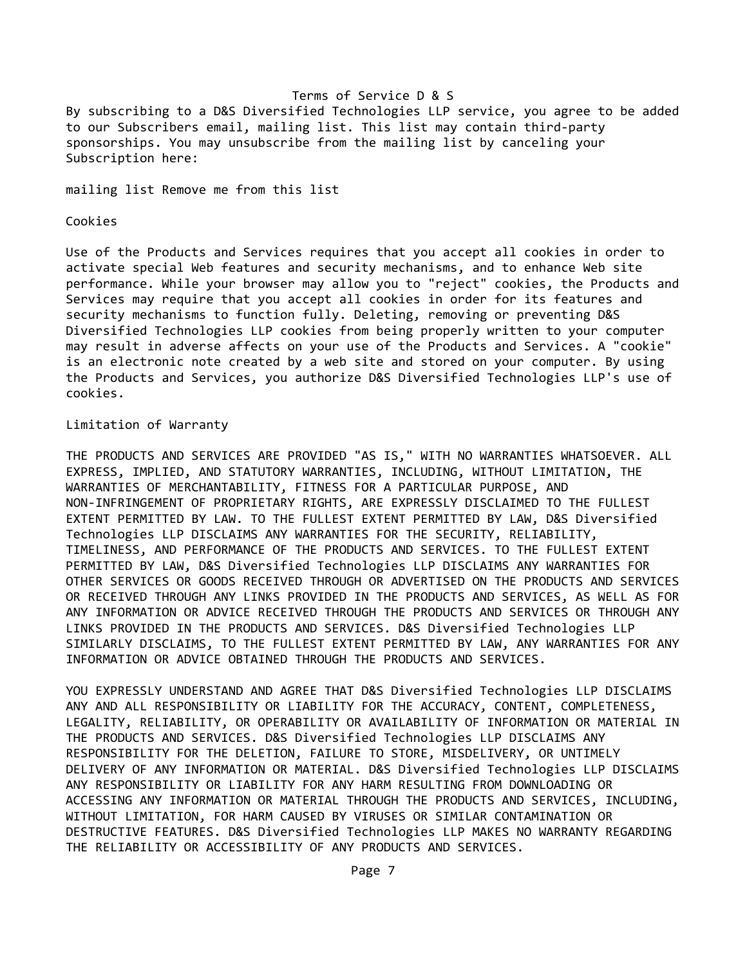By subscribing to a D&S Diversified Technologies LLP service, you agree to be added to our Subscribers email, mailing list. This list may contain third‐party sponsorships. You may unsubscribe from the mailing list by canceling your Subscription here:

mailing list Remove me from this list

## Cookies

Use of the Products and Services requires that you accept all cookies in order to activate special Web features and security mechanisms, and to enhance Web site performance. While your browser may allow you to "reject" cookies, the Products and Services may require that you accept all cookies in order for its features and security mechanisms to function fully. Deleting, removing or preventing D&S Diversified Technologies LLP cookies from being properly written to your computer may result in adverse affects on your use of the Products and Services. A "cookie" is an electronic note created by a web site and stored on your computer. By using the Products and Services, you authorize D&S Diversified Technologies LLP's use of cookies.

## Limitation of Warranty

THE PRODUCTS AND SERVICES ARE PROVIDED "AS IS," WITH NO WARRANTIES WHATSOEVER. ALL EXPRESS, IMPLIED, AND STATUTORY WARRANTIES, INCLUDING, WITHOUT LIMITATION, THE WARRANTIES OF MERCHANTABILITY, FITNESS FOR A PARTICULAR PURPOSE, AND NON‐INFRINGEMENT OF PROPRIETARY RIGHTS, ARE EXPRESSLY DISCLAIMED TO THE FULLEST EXTENT PERMITTED BY LAW. TO THE FULLEST EXTENT PERMITTED BY LAW, D&S Diversified Technologies LLP DISCLAIMS ANY WARRANTIES FOR THE SECURITY, RELIABILITY, TIMELINESS, AND PERFORMANCE OF THE PRODUCTS AND SERVICES. TO THE FULLEST EXTENT PERMITTED BY LAW, D&S Diversified Technologies LLP DISCLAIMS ANY WARRANTIES FOR OTHER SERVICES OR GOODS RECEIVED THROUGH OR ADVERTISED ON THE PRODUCTS AND SERVICES OR RECEIVED THROUGH ANY LINKS PROVIDED IN THE PRODUCTS AND SERVICES, AS WELL AS FOR ANY INFORMATION OR ADVICE RECEIVED THROUGH THE PRODUCTS AND SERVICES OR THROUGH ANY LINKS PROVIDED IN THE PRODUCTS AND SERVICES. D&S Diversified Technologies LLP SIMILARLY DISCLAIMS, TO THE FULLEST EXTENT PERMITTED BY LAW, ANY WARRANTIES FOR ANY INFORMATION OR ADVICE OBTAINED THROUGH THE PRODUCTS AND SERVICES.

YOU EXPRESSLY UNDERSTAND AND AGREE THAT D&S Diversified Technologies LLP DISCLAIMS ANY AND ALL RESPONSIBILITY OR LIABILITY FOR THE ACCURACY, CONTENT, COMPLETENESS, LEGALITY, RELIABILITY, OR OPERABILITY OR AVAILABILITY OF INFORMATION OR MATERIAL IN THE PRODUCTS AND SERVICES. D&S Diversified Technologies LLP DISCLAIMS ANY RESPONSIBILITY FOR THE DELETION, FAILURE TO STORE, MISDELIVERY, OR UNTIMELY DELIVERY OF ANY INFORMATION OR MATERIAL. D&S Diversified Technologies LLP DISCLAIMS ANY RESPONSIBILITY OR LIABILITY FOR ANY HARM RESULTING FROM DOWNLOADING OR ACCESSING ANY INFORMATION OR MATERIAL THROUGH THE PRODUCTS AND SERVICES, INCLUDING, WITHOUT LIMITATION, FOR HARM CAUSED BY VIRUSES OR SIMILAR CONTAMINATION OR DESTRUCTIVE FEATURES. D&S Diversified Technologies LLP MAKES NO WARRANTY REGARDING THE RELIABILITY OR ACCESSIBILITY OF ANY PRODUCTS AND SERVICES.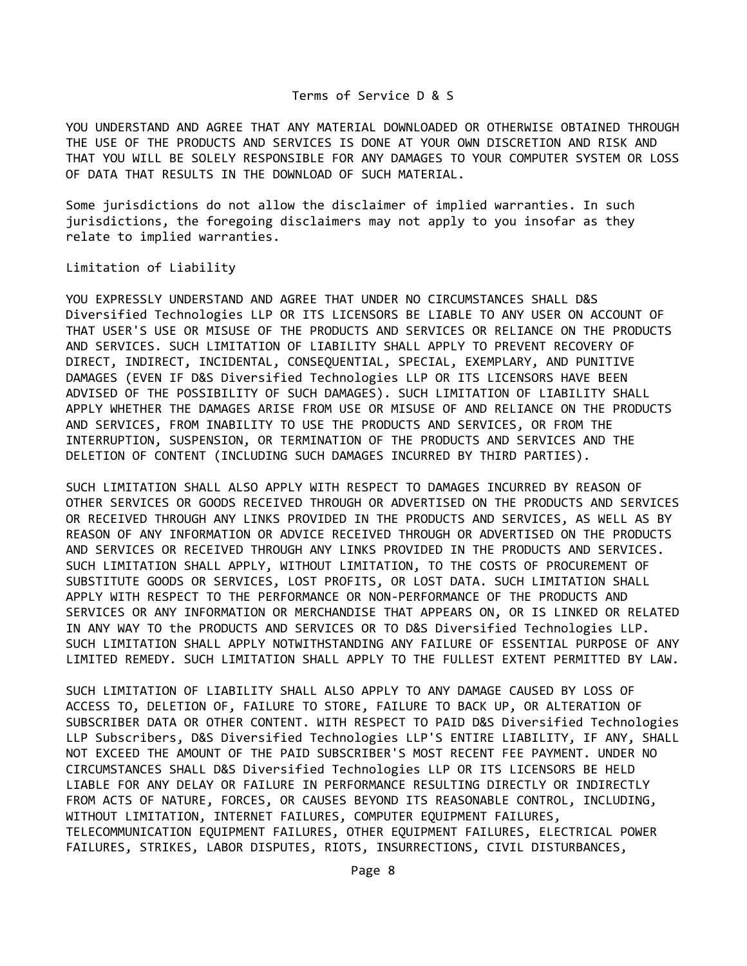YOU UNDERSTAND AND AGREE THAT ANY MATERIAL DOWNLOADED OR OTHERWISE OBTAINED THROUGH THE USE OF THE PRODUCTS AND SERVICES IS DONE AT YOUR OWN DISCRETION AND RISK AND THAT YOU WILL BE SOLELY RESPONSIBLE FOR ANY DAMAGES TO YOUR COMPUTER SYSTEM OR LOSS OF DATA THAT RESULTS IN THE DOWNLOAD OF SUCH MATERIAL.

Some jurisdictions do not allow the disclaimer of implied warranties. In such jurisdictions, the foregoing disclaimers may not apply to you insofar as they relate to implied warranties.

Limitation of Liability

YOU EXPRESSLY UNDERSTAND AND AGREE THAT UNDER NO CIRCUMSTANCES SHALL D&S Diversified Technologies LLP OR ITS LICENSORS BE LIABLE TO ANY USER ON ACCOUNT OF THAT USER'S USE OR MISUSE OF THE PRODUCTS AND SERVICES OR RELIANCE ON THE PRODUCTS AND SERVICES. SUCH LIMITATION OF LIABILITY SHALL APPLY TO PREVENT RECOVERY OF DIRECT, INDIRECT, INCIDENTAL, CONSEQUENTIAL, SPECIAL, EXEMPLARY, AND PUNITIVE DAMAGES (EVEN IF D&S Diversified Technologies LLP OR ITS LICENSORS HAVE BEEN ADVISED OF THE POSSIBILITY OF SUCH DAMAGES). SUCH LIMITATION OF LIABILITY SHALL APPLY WHETHER THE DAMAGES ARISE FROM USE OR MISUSE OF AND RELIANCE ON THE PRODUCTS AND SERVICES, FROM INABILITY TO USE THE PRODUCTS AND SERVICES, OR FROM THE INTERRUPTION, SUSPENSION, OR TERMINATION OF THE PRODUCTS AND SERVICES AND THE DELETION OF CONTENT (INCLUDING SUCH DAMAGES INCURRED BY THIRD PARTIES).

SUCH LIMITATION SHALL ALSO APPLY WITH RESPECT TO DAMAGES INCURRED BY REASON OF OTHER SERVICES OR GOODS RECEIVED THROUGH OR ADVERTISED ON THE PRODUCTS AND SERVICES OR RECEIVED THROUGH ANY LINKS PROVIDED IN THE PRODUCTS AND SERVICES, AS WELL AS BY REASON OF ANY INFORMATION OR ADVICE RECEIVED THROUGH OR ADVERTISED ON THE PRODUCTS AND SERVICES OR RECEIVED THROUGH ANY LINKS PROVIDED IN THE PRODUCTS AND SERVICES. SUCH LIMITATION SHALL APPLY, WITHOUT LIMITATION, TO THE COSTS OF PROCUREMENT OF SUBSTITUTE GOODS OR SERVICES, LOST PROFITS, OR LOST DATA. SUCH LIMITATION SHALL APPLY WITH RESPECT TO THE PERFORMANCE OR NON‐PERFORMANCE OF THE PRODUCTS AND SERVICES OR ANY INFORMATION OR MERCHANDISE THAT APPEARS ON, OR IS LINKED OR RELATED IN ANY WAY TO the PRODUCTS AND SERVICES OR TO D&S Diversified Technologies LLP. SUCH LIMITATION SHALL APPLY NOTWITHSTANDING ANY FAILURE OF ESSENTIAL PURPOSE OF ANY LIMITED REMEDY. SUCH LIMITATION SHALL APPLY TO THE FULLEST EXTENT PERMITTED BY LAW.

SUCH LIMITATION OF LIABILITY SHALL ALSO APPLY TO ANY DAMAGE CAUSED BY LOSS OF ACCESS TO, DELETION OF, FAILURE TO STORE, FAILURE TO BACK UP, OR ALTERATION OF SUBSCRIBER DATA OR OTHER CONTENT. WITH RESPECT TO PAID D&S Diversified Technologies LLP Subscribers, D&S Diversified Technologies LLP'S ENTIRE LIABILITY, IF ANY, SHALL NOT EXCEED THE AMOUNT OF THE PAID SUBSCRIBER'S MOST RECENT FEE PAYMENT. UNDER NO CIRCUMSTANCES SHALL D&S Diversified Technologies LLP OR ITS LICENSORS BE HELD LIABLE FOR ANY DELAY OR FAILURE IN PERFORMANCE RESULTING DIRECTLY OR INDIRECTLY FROM ACTS OF NATURE, FORCES, OR CAUSES BEYOND ITS REASONABLE CONTROL, INCLUDING, WITHOUT LIMITATION, INTERNET FAILURES, COMPUTER EQUIPMENT FAILURES, TELECOMMUNICATION EQUIPMENT FAILURES, OTHER EQUIPMENT FAILURES, ELECTRICAL POWER FAILURES, STRIKES, LABOR DISPUTES, RIOTS, INSURRECTIONS, CIVIL DISTURBANCES,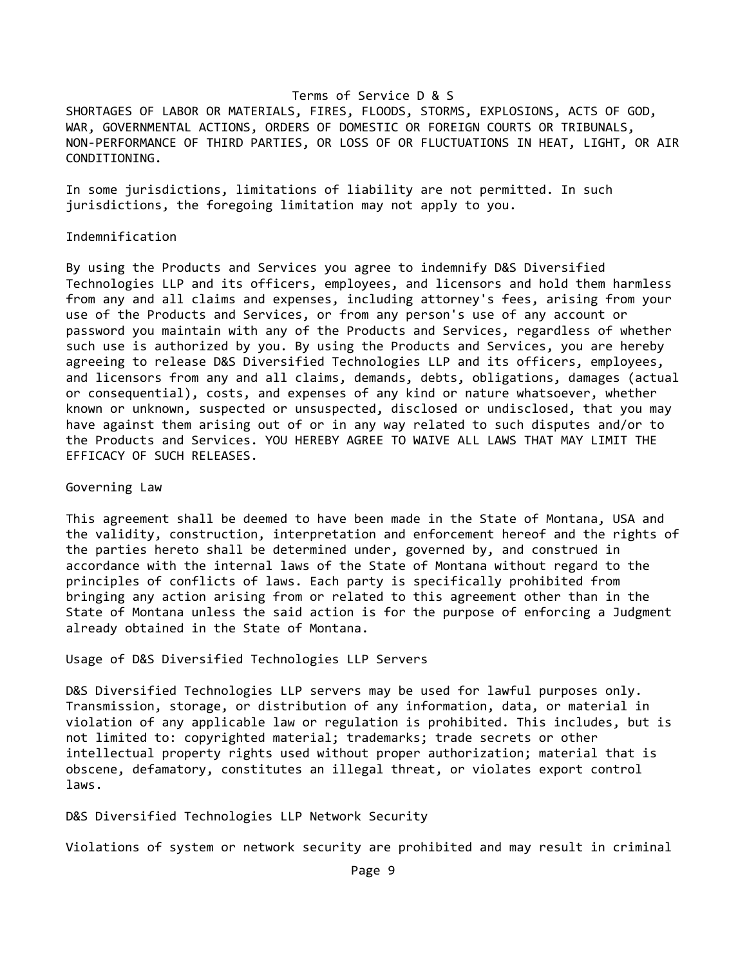SHORTAGES OF LABOR OR MATERIALS, FIRES, FLOODS, STORMS, EXPLOSIONS, ACTS OF GOD, WAR, GOVERNMENTAL ACTIONS, ORDERS OF DOMESTIC OR FOREIGN COURTS OR TRIBUNALS, NON‐PERFORMANCE OF THIRD PARTIES, OR LOSS OF OR FLUCTUATIONS IN HEAT, LIGHT, OR AIR CONDITIONING.

In some jurisdictions, limitations of liability are not permitted. In such jurisdictions, the foregoing limitation may not apply to you.

#### Indemnification

By using the Products and Services you agree to indemnify D&S Diversified Technologies LLP and its officers, employees, and licensors and hold them harmless from any and all claims and expenses, including attorney's fees, arising from your use of the Products and Services, or from any person's use of any account or password you maintain with any of the Products and Services, regardless of whether such use is authorized by you. By using the Products and Services, you are hereby agreeing to release D&S Diversified Technologies LLP and its officers, employees, and licensors from any and all claims, demands, debts, obligations, damages (actual or consequential), costs, and expenses of any kind or nature whatsoever, whether known or unknown, suspected or unsuspected, disclosed or undisclosed, that you may have against them arising out of or in any way related to such disputes and/or to the Products and Services. YOU HEREBY AGREE TO WAIVE ALL LAWS THAT MAY LIMIT THE EFFICACY OF SUCH RELEASES.

#### Governing Law

This agreement shall be deemed to have been made in the State of Montana, USA and the validity, construction, interpretation and enforcement hereof and the rights of the parties hereto shall be determined under, governed by, and construed in accordance with the internal laws of the State of Montana without regard to the principles of conflicts of laws. Each party is specifically prohibited from bringing any action arising from or related to this agreement other than in the State of Montana unless the said action is for the purpose of enforcing a Judgment already obtained in the State of Montana.

Usage of D&S Diversified Technologies LLP Servers

D&S Diversified Technologies LLP servers may be used for lawful purposes only. Transmission, storage, or distribution of any information, data, or material in violation of any applicable law or regulation is prohibited. This includes, but is not limited to: copyrighted material; trademarks; trade secrets or other intellectual property rights used without proper authorization; material that is obscene, defamatory, constitutes an illegal threat, or violates export control laws.

D&S Diversified Technologies LLP Network Security

Violations of system or network security are prohibited and may result in criminal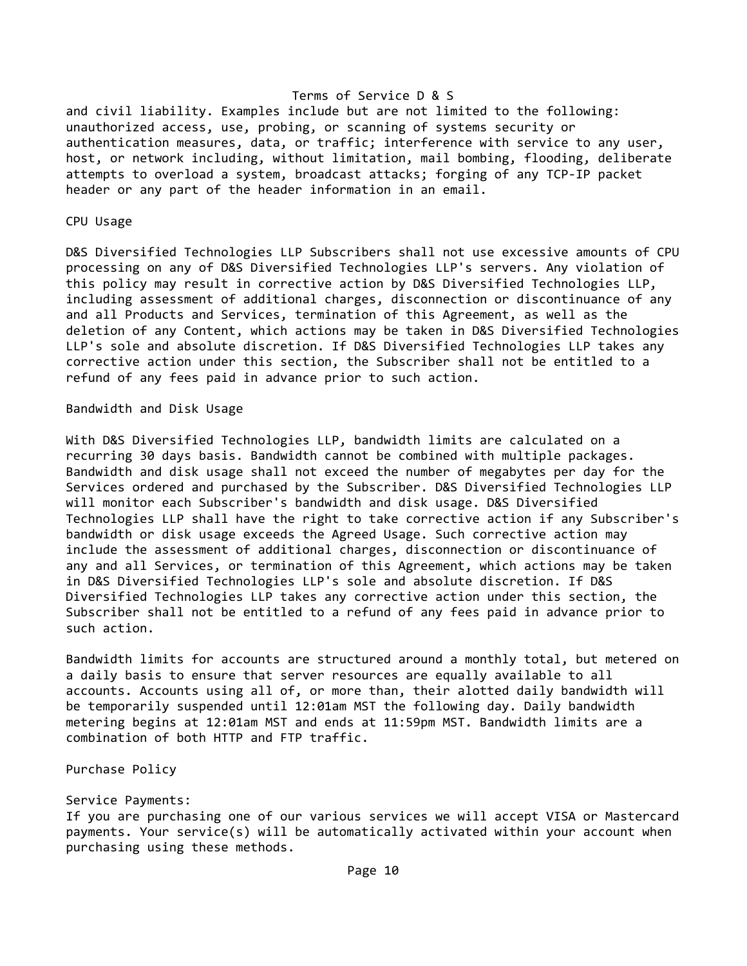and civil liability. Examples include but are not limited to the following: unauthorized access, use, probing, or scanning of systems security or authentication measures, data, or traffic; interference with service to any user, host, or network including, without limitation, mail bombing, flooding, deliberate attempts to overload a system, broadcast attacks; forging of any TCP‐IP packet header or any part of the header information in an email.

### CPU Usage

D&S Diversified Technologies LLP Subscribers shall not use excessive amounts of CPU processing on any of D&S Diversified Technologies LLP's servers. Any violation of this policy may result in corrective action by D&S Diversified Technologies LLP, including assessment of additional charges, disconnection or discontinuance of any and all Products and Services, termination of this Agreement, as well as the deletion of any Content, which actions may be taken in D&S Diversified Technologies LLP's sole and absolute discretion. If D&S Diversified Technologies LLP takes any corrective action under this section, the Subscriber shall not be entitled to a refund of any fees paid in advance prior to such action.

# Bandwidth and Disk Usage

With D&S Diversified Technologies LLP, bandwidth limits are calculated on a recurring 30 days basis. Bandwidth cannot be combined with multiple packages. Bandwidth and disk usage shall not exceed the number of megabytes per day for the Services ordered and purchased by the Subscriber. D&S Diversified Technologies LLP will monitor each Subscriber's bandwidth and disk usage. D&S Diversified Technologies LLP shall have the right to take corrective action if any Subscriber's bandwidth or disk usage exceeds the Agreed Usage. Such corrective action may include the assessment of additional charges, disconnection or discontinuance of any and all Services, or termination of this Agreement, which actions may be taken in D&S Diversified Technologies LLP's sole and absolute discretion. If D&S Diversified Technologies LLP takes any corrective action under this section, the Subscriber shall not be entitled to a refund of any fees paid in advance prior to such action.

Bandwidth limits for accounts are structured around a monthly total, but metered on a daily basis to ensure that server resources are equally available to all accounts. Accounts using all of, or more than, their alotted daily bandwidth will be temporarily suspended until 12:01am MST the following day. Daily bandwidth metering begins at 12:01am MST and ends at 11:59pm MST. Bandwidth limits are a combination of both HTTP and FTP traffic.

Purchase Policy

#### Service Payments:

If you are purchasing one of our various services we will accept VISA or Mastercard payments. Your service(s) will be automatically activated within your account when purchasing using these methods.